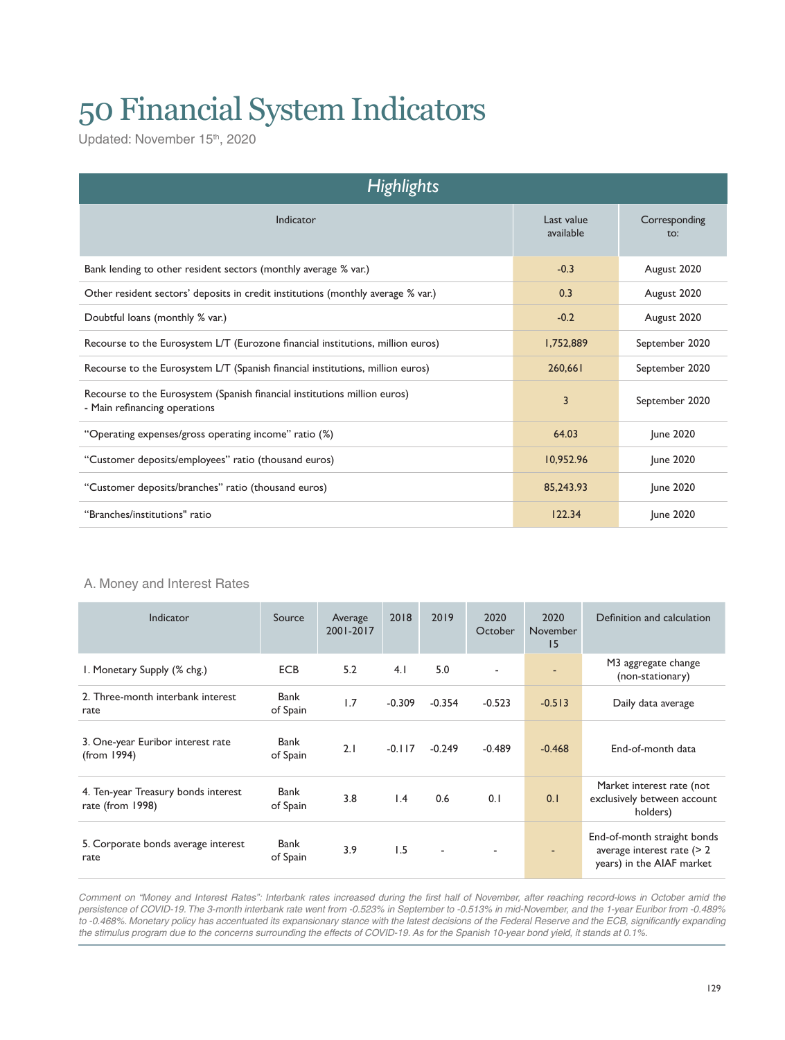# 50 Financial System Indicators

Updated: November 15<sup>th</sup>, 2020

| <b>Highlights</b>                                                                                          |                         |                      |  |  |  |  |  |  |
|------------------------------------------------------------------------------------------------------------|-------------------------|----------------------|--|--|--|--|--|--|
| Indicator                                                                                                  | Last value<br>available | Corresponding<br>to: |  |  |  |  |  |  |
| Bank lending to other resident sectors (monthly average % var.)                                            | $-0.3$                  | August 2020          |  |  |  |  |  |  |
| Other resident sectors' deposits in credit institutions (monthly average % var.)                           | 0.3                     | August 2020          |  |  |  |  |  |  |
| Doubtful loans (monthly % var.)                                                                            | $-0.2$                  | August 2020          |  |  |  |  |  |  |
| Recourse to the Eurosystem L/T (Eurozone financial institutions, million euros)                            | 1,752,889               | September 2020       |  |  |  |  |  |  |
| Recourse to the Eurosystem L/T (Spanish financial institutions, million euros)                             | 260,661                 | September 2020       |  |  |  |  |  |  |
| Recourse to the Eurosystem (Spanish financial institutions million euros)<br>- Main refinancing operations | 3                       | September 2020       |  |  |  |  |  |  |
| "Operating expenses/gross operating income" ratio (%)                                                      | 64.03                   | June 2020            |  |  |  |  |  |  |
| "Customer deposits/employees" ratio (thousand euros)                                                       | 10,952.96               | June 2020            |  |  |  |  |  |  |
| "Customer deposits/branches" ratio (thousand euros)                                                        | 85,243.93               | June 2020            |  |  |  |  |  |  |
| "Branches/institutions" ratio                                                                              | 122.34                  | June 2020            |  |  |  |  |  |  |

## A. Money and Interest Rates

| Indicator                                               | Source           | Average<br>2001-2017 | 2018            | 2019     | 2020<br>October | 2020<br>November<br>15 | Definition and calculation                                                                |
|---------------------------------------------------------|------------------|----------------------|-----------------|----------|-----------------|------------------------|-------------------------------------------------------------------------------------------|
| I. Monetary Supply (% chg.)                             | <b>ECB</b>       | 5.2                  | 4.1             | 5.0      |                 | ٠                      | M3 aggregate change<br>(non-stationary)                                                   |
| 2. Three-month interbank interest<br>rate               | Bank<br>of Spain | 1.7                  | $-0.309$        | $-0.354$ | $-0.523$        | $-0.513$               | Daily data average                                                                        |
| 3. One-year Euribor interest rate<br>(from 1994)        | Bank<br>of Spain | 2.1                  | $-0.117$        | $-0.249$ | $-0.489$        | $-0.468$               | End-of-month data                                                                         |
| 4. Ten-year Treasury bonds interest<br>rate (from 1998) | Bank<br>of Spain | 3.8                  | $\mathsf{I}$ .4 | 0.6      | 0.1             | 0.1                    | Market interest rate (not<br>exclusively between account<br>holders)                      |
| 5. Corporate bonds average interest<br>rate             | Bank<br>of Spain | 3.9                  | 1.5             | ٠        | ٠               |                        | End-of-month straight bonds<br>average interest rate $($ > 2<br>years) in the AIAF market |

*Comment on "Money and Interest Rates": Interbank rates increased during the first half of November, after reaching record-lows in October amid the persistence of COVID-19. The 3-month interbank rate went from -0.523% in September to -0.513% in mid-November, and the 1-year Euribor from -0.489% to -0.468%. Monetary policy has accentuated its expansionary stance with the latest decisions of the Federal Reserve and the ECB, significantly expanding the stimulus program due to the concerns surrounding the effects of COVID-19. As for the Spanish 10-year bond yield, it stands at 0.1%.*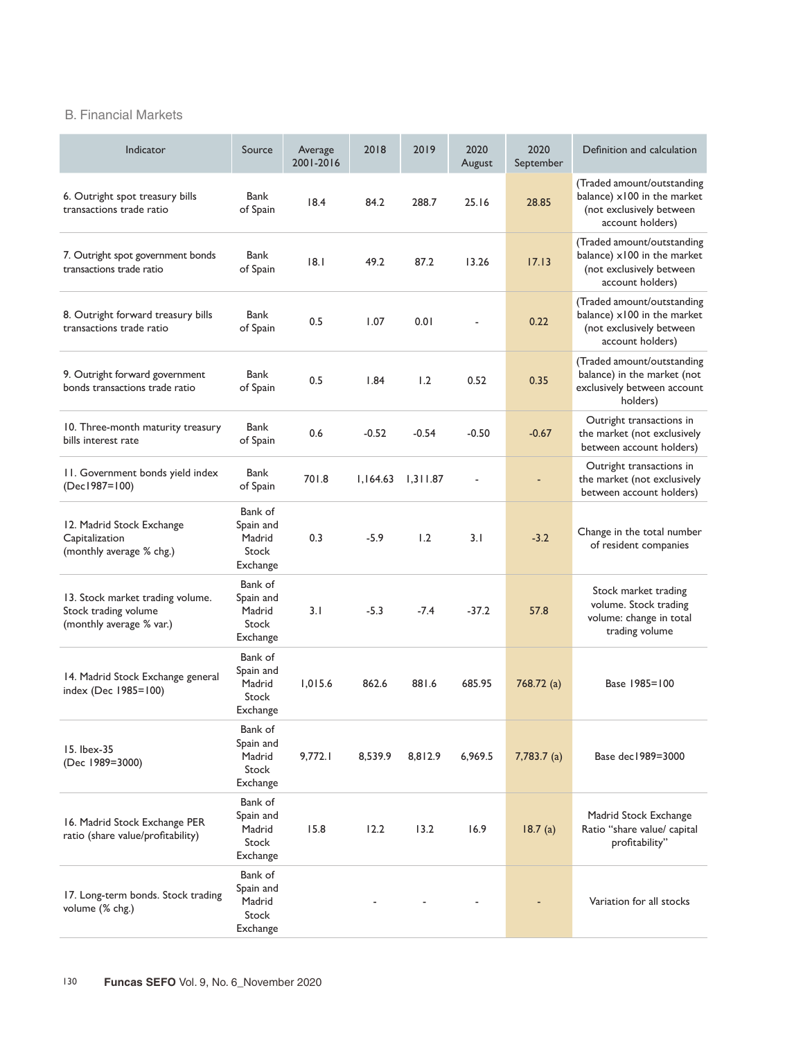## B. Financial Markets

| Indicator                                                                            | Source                                              | Average<br>2001-2016 | 2018     | 2019     | 2020<br>August           | 2020<br>September | Definition and calculation                                                                                |
|--------------------------------------------------------------------------------------|-----------------------------------------------------|----------------------|----------|----------|--------------------------|-------------------|-----------------------------------------------------------------------------------------------------------|
| 6. Outright spot treasury bills<br>transactions trade ratio                          | Bank<br>of Spain                                    | 18.4                 | 84.2     | 288.7    | 25.16                    | 28.85             | (Traded amount/outstanding<br>balance) x100 in the market<br>(not exclusively between<br>account holders) |
| 7. Outright spot government bonds<br>transactions trade ratio                        | Bank<br>of Spain                                    | 8.1                  | 49.2     | 87.2     | 13.26                    | 17.13             | (Traded amount/outstanding<br>balance) x100 in the market<br>(not exclusively between<br>account holders) |
| 8. Outright forward treasury bills<br>transactions trade ratio                       | Bank<br>of Spain                                    | 0.5                  | 1.07     | 0.01     |                          | 0.22              | (Traded amount/outstanding<br>balance) x100 in the market<br>(not exclusively between<br>account holders) |
| 9. Outright forward government<br>bonds transactions trade ratio                     | Bank<br>of Spain                                    | 0.5                  | 1.84     | 1.2      | 0.52                     | 0.35              | (Traded amount/outstanding<br>balance) in the market (not<br>exclusively between account<br>holders)      |
| 10. Three-month maturity treasury<br>bills interest rate                             | Bank<br>of Spain                                    | 0.6                  | $-0.52$  | $-0.54$  | $-0.50$                  | $-0.67$           | Outright transactions in<br>the market (not exclusively<br>between account holders)                       |
| 11. Government bonds yield index<br>(Dec1987=100)                                    | Bank<br>of Spain                                    | 701.8                | 1,164.63 | 1,311.87 | $\overline{\phantom{a}}$ |                   | Outright transactions in<br>the market (not exclusively<br>between account holders)                       |
| 12. Madrid Stock Exchange<br>Capitalization<br>(monthly average % chg.)              | Bank of<br>Spain and<br>Madrid<br>Stock<br>Exchange | 0.3                  | $-5.9$   | 1.2      | 3.1                      | $-3.2$            | Change in the total number<br>of resident companies                                                       |
| 13. Stock market trading volume.<br>Stock trading volume<br>(monthly average % var.) | Bank of<br>Spain and<br>Madrid<br>Stock<br>Exchange | 3.1                  | $-5.3$   | $-7.4$   | $-37.2$                  | 57.8              | Stock market trading<br>volume. Stock trading<br>volume: change in total<br>trading volume                |
| 14. Madrid Stock Exchange general<br>index (Dec 1985=100)                            | Bank of<br>Spain and<br>Madrid<br>Stock<br>Exchange | 1,015.6              | 862.6    | 881.6    | 685.95                   | 768.72 (a)        | Base 1985=100                                                                                             |
| 15. Ibex-35<br>(Dec 1989=3000)                                                       | Bank of<br>Spain and<br>Madrid<br>Stock<br>Exchange | 9,772.1              | 8,539.9  | 8,812.9  | 6,969.5                  | $7,783.7$ (a)     | Base dec 1989=3000                                                                                        |
| 16. Madrid Stock Exchange PER<br>ratio (share value/profitability)                   | Bank of<br>Spain and<br>Madrid<br>Stock<br>Exchange | 15.8                 | 12.2     | 13.2     | 16.9                     | 18.7(a)           | Madrid Stock Exchange<br>Ratio "share value/ capital<br>profitability"                                    |
| 17. Long-term bonds. Stock trading<br>volume (% chg.)                                | Bank of<br>Spain and<br>Madrid<br>Stock<br>Exchange |                      |          |          |                          |                   | Variation for all stocks                                                                                  |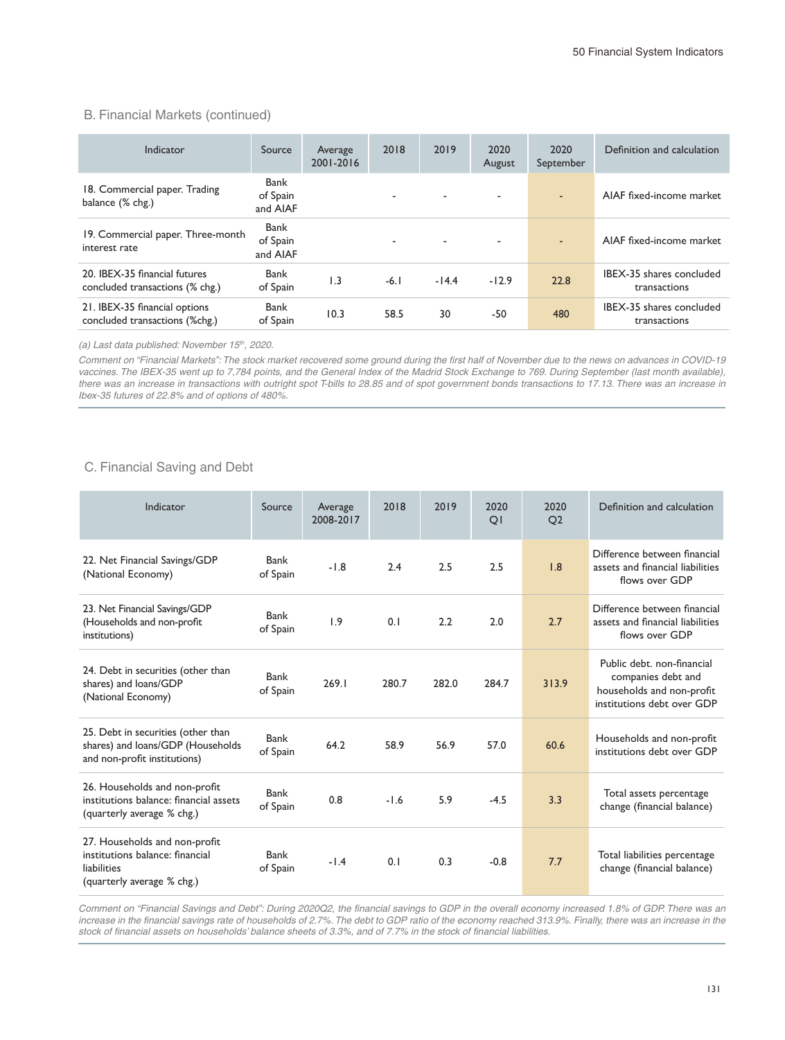#### B. Financial Markets (continued)

| Indicator                                                        | Source                       | Average<br>2001-2016 | 2018                     | 2019    | 2020<br>August | 2020<br>September        | Definition and calculation               |
|------------------------------------------------------------------|------------------------------|----------------------|--------------------------|---------|----------------|--------------------------|------------------------------------------|
| 18. Commercial paper. Trading<br>balance (% chg.)                | Bank<br>of Spain<br>and AIAF |                      | $\overline{\phantom{0}}$ | ٠       | ٠              | $\overline{a}$           | AIAF fixed-income market                 |
| 19. Commercial paper. Three-month<br>interest rate               | Bank<br>of Spain<br>and AIAF |                      | $\overline{\phantom{a}}$ | ٠       | ۰              | $\overline{\phantom{a}}$ | AIAF fixed-income market                 |
| 20. IBEX-35 financial futures<br>concluded transactions (% chg.) | Bank<br>of Spain             | $\overline{1.3}$     | $-6.1$                   | $-14.4$ | $-12.9$        | 22.8                     | IBEX-35 shares concluded<br>transactions |
| 21. IBEX-35 financial options<br>concluded transactions (%chg.)  | Bank<br>of Spain             | 10.3                 | 58.5                     | 30      | $-50$          | 480                      | IBEX-35 shares concluded<br>transactions |

*(a) Last data published: November 15th, 2020.*

*Comment on "Financial Markets": The stock market recovered some ground during the first half of November due to the news on advances in COVID-19*  vaccines. The IBEX-35 went up to 7,784 points, and the General Index of the Madrid Stock Exchange to 769. During September (last month available), there was an increase in transactions with outright spot T-bills to 28.85 and of spot government bonds transactions to 17.13. There was an increase in *Ibex-35 futures of 22.8% and of options of 480%.*

### C. Financial Saving and Debt

| Indicator                                                                                                     | Source           | Average<br>2008-2017 | 2018   | 2019  | 2020<br>QI | 2020<br>O <sub>2</sub> | Definition and calculation                                                                                  |
|---------------------------------------------------------------------------------------------------------------|------------------|----------------------|--------|-------|------------|------------------------|-------------------------------------------------------------------------------------------------------------|
| 22. Net Financial Savings/GDP<br>(National Economy)                                                           | Bank<br>of Spain | $-1.8$               | 2.4    | 2.5   | 2.5        | 1.8                    | Difference between financial<br>assets and financial liabilities<br>flows over GDP                          |
| 23. Net Financial Savings/GDP<br>(Households and non-profit<br>institutions)                                  | Bank<br>of Spain | 1.9                  | 0.1    | 2.2   | 2.0        | 2.7                    | Difference between financial<br>assets and financial liabilities<br>flows over GDP                          |
| 24. Debt in securities (other than<br>shares) and loans/GDP<br>(National Economy)                             | Bank<br>of Spain | 269.1                | 280.7  | 282.0 | 284.7      | 313.9                  | Public debt. non-financial<br>companies debt and<br>households and non-profit<br>institutions debt over GDP |
| 25. Debt in securities (other than<br>shares) and loans/GDP (Households<br>and non-profit institutions)       | Bank<br>of Spain | 64.2                 | 58.9   | 56.9  | 57.0       | 60.6                   | Households and non-profit<br>institutions debt over GDP                                                     |
| 26. Households and non-profit<br>institutions balance: financial assets<br>(quarterly average % chg.)         | Bank<br>of Spain | 0.8                  | $-1.6$ | 5.9   | $-4.5$     | 3.3                    | Total assets percentage<br>change (financial balance)                                                       |
| 27. Households and non-profit<br>institutions balance: financial<br>liabilities<br>(quarterly average % chg.) | Bank<br>of Spain | $-1.4$               | 0.1    | 0.3   | $-0.8$     | 7.7                    | Total liabilities percentage<br>change (financial balance)                                                  |

*Comment on "Financial Savings and Debt": During 2020Q2, the financial savings to GDP in the overall economy increased 1.8% of GDP. There was an increase in the financial savings rate of households of 2.7%. The debt to GDP ratio of the economy reached 313.9%. Finally, there was an increase in the stock of financial assets on households' balance sheets of 3.3%, and of 7.7% in the stock of financial liabilities.*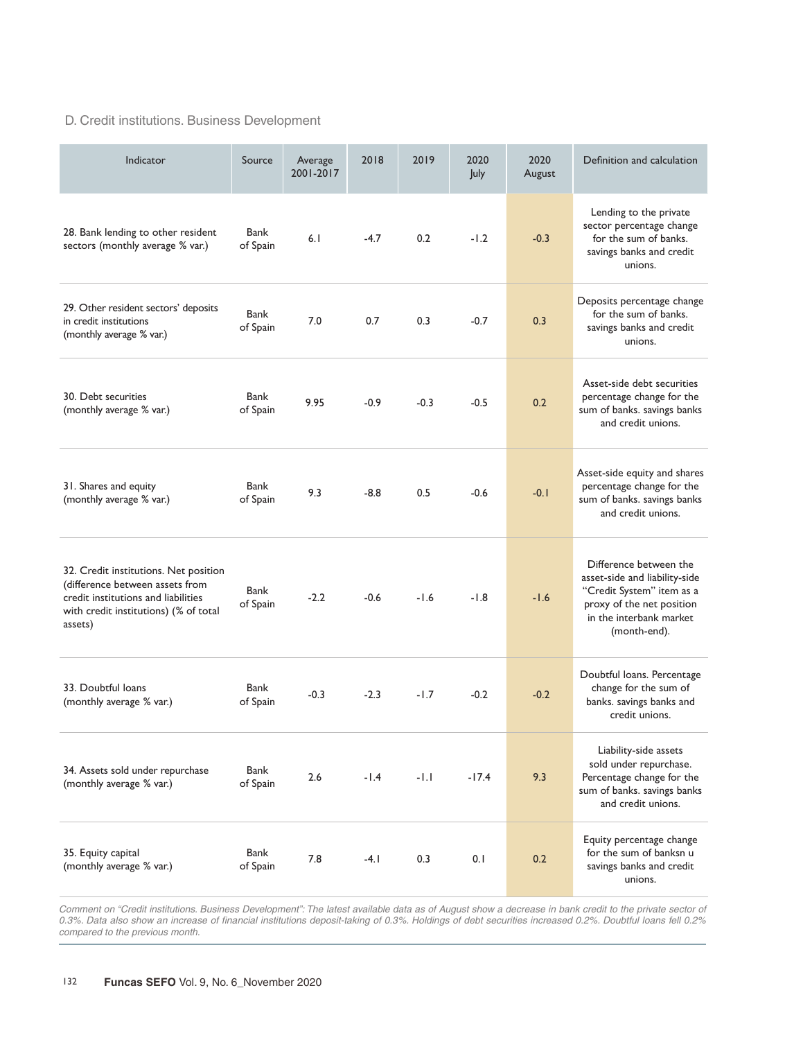## D. Credit institutions. Business Development

| Indicator                                                                                                                                                           | Source           | Average<br>2001-2017 | 2018   | 2019   | 2020<br>July | 2020<br>August | Definition and calculation                                                                                                                                   |
|---------------------------------------------------------------------------------------------------------------------------------------------------------------------|------------------|----------------------|--------|--------|--------------|----------------|--------------------------------------------------------------------------------------------------------------------------------------------------------------|
| 28. Bank lending to other resident<br>sectors (monthly average % var.)                                                                                              | Bank<br>of Spain | 6.1                  | $-4.7$ | 0.2    | $-1.2$       | $-0.3$         | Lending to the private<br>sector percentage change<br>for the sum of banks.<br>savings banks and credit<br>unions.                                           |
| 29. Other resident sectors' deposits<br>in credit institutions<br>(monthly average % var.)                                                                          | Bank<br>of Spain | 7.0                  | 0.7    | 0.3    | $-0.7$       | 0.3            | Deposits percentage change<br>for the sum of banks.<br>savings banks and credit<br>unions.                                                                   |
| 30. Debt securities<br>(monthly average % var.)                                                                                                                     | Bank<br>of Spain | 9.95                 | $-0.9$ | $-0.3$ | $-0.5$       | 0.2            | Asset-side debt securities<br>percentage change for the<br>sum of banks. savings banks<br>and credit unions.                                                 |
| 31. Shares and equity<br>(monthly average % var.)                                                                                                                   | Bank<br>of Spain | 9.3                  | $-8.8$ | 0.5    | $-0.6$       | $-0.1$         | Asset-side equity and shares<br>percentage change for the<br>sum of banks. savings banks<br>and credit unions.                                               |
| 32. Credit institutions. Net position<br>(difference between assets from<br>credit institutions and liabilities<br>with credit institutions) (% of total<br>assets) | Bank<br>of Spain | $-2.2$               | $-0.6$ | $-1.6$ | $-1.8$       | $-1.6$         | Difference between the<br>asset-side and liability-side<br>"Credit System" item as a<br>proxy of the net position<br>in the interbank market<br>(month-end). |
| 33. Doubtful loans<br>(monthly average % var.)                                                                                                                      | Bank<br>of Spain | $-0.3$               | $-2.3$ | $-1.7$ | $-0.2$       | $-0.2$         | Doubtful loans. Percentage<br>change for the sum of<br>banks. savings banks and<br>credit unions.                                                            |
| 34. Assets sold under repurchase<br>(monthly average % var.)                                                                                                        | Bank<br>of Spain | 2.6                  | $-1.4$ | $-1.1$ | $-17.4$      | 9.3            | Liability-side assets<br>sold under repurchase.<br>Percentage change for the<br>sum of banks. savings banks<br>and credit unions.                            |
| 35. Equity capital<br>(monthly average % var.)                                                                                                                      | Bank<br>of Spain | 7.8                  | $-4.1$ | 0.3    | 0.1          | 0.2            | Equity percentage change<br>for the sum of banksn u<br>savings banks and credit<br>unions.                                                                   |

Comment on "Credit institutions. Business Development": The latest available data as of August show a decrease in bank credit to the private sector of *0.3%. Data also show an increase of financial institutions deposit-taking of 0.3%. Holdings of debt securities increased 0.2%. Doubtful loans fell 0.2% compared to the previous month.*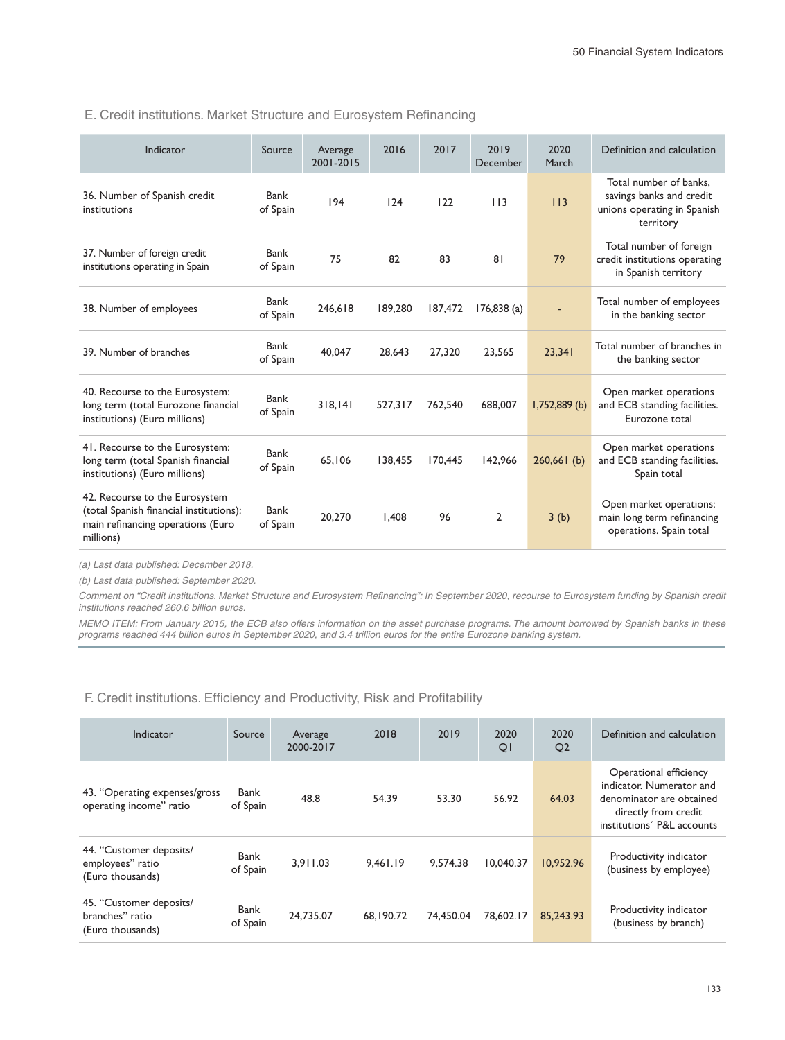#### E. Credit institutions. Market Structure and Eurosystem Refinancing

| Indicator                                                                                                                   | Source           | Average<br>2001-2015 | 2016    | 2017    | 2019<br>December | 2020<br>March | Definition and calculation                                                                     |
|-----------------------------------------------------------------------------------------------------------------------------|------------------|----------------------|---------|---------|------------------|---------------|------------------------------------------------------------------------------------------------|
| 36. Number of Spanish credit<br>institutions                                                                                | Bank<br>of Spain | 194                  | 124     | 122     | 113              | 113           | Total number of banks,<br>savings banks and credit<br>unions operating in Spanish<br>territory |
| 37. Number of foreign credit<br>institutions operating in Spain                                                             | Bank<br>of Spain | 75                   | 82      | 83      | 81               | 79            | Total number of foreign<br>credit institutions operating<br>in Spanish territory               |
| 38. Number of employees                                                                                                     | Bank<br>of Spain | 246.618              | 189,280 | 187,472 | 176,838(a)       | ٠             | Total number of employees<br>in the banking sector                                             |
| 39. Number of branches                                                                                                      | Bank<br>of Spain | 40.047               | 28.643  | 27,320  | 23.565           | 23.341        | Total number of branches in<br>the banking sector                                              |
| 40. Recourse to the Eurosystem:<br>long term (total Eurozone financial<br>institutions) (Euro millions)                     | Bank<br>of Spain | 318.141              | 527.317 | 762.540 | 688,007          | I,752,889 (b) | Open market operations<br>and ECB standing facilities.<br>Eurozone total                       |
| 41. Recourse to the Eurosystem:<br>long term (total Spanish financial<br>institutions) (Euro millions)                      | Bank<br>of Spain | 65,106               | 138,455 | 170,445 | 142,966          | 260,661(b)    | Open market operations<br>and ECB standing facilities.<br>Spain total                          |
| 42. Recourse to the Eurosystem<br>(total Spanish financial institutions):<br>main refinancing operations (Euro<br>millions) | Bank<br>of Spain | 20,270               | 1.408   | 96      | $\overline{2}$   | 3(b)          | Open market operations:<br>main long term refinancing<br>operations. Spain total               |

*(a) Last data published: December 2018.*

*(b) Last data published: September 2020.*

Comment on "Credit institutions. Market Structure and Eurosystem Refinancing": In September 2020, recourse to Eurosystem funding by Spanish credit *institutions reached 260.6 billion euros.* 

*MEMO ITEM: From January 2015, the ECB also offers information on the asset purchase programs. The amount borrowed by Spanish banks in these programs reached 444 billion euros in September 2020, and 3.4 trillion euros for the entire Eurozone banking system.*

F. Credit institutions. Efficiency and Productivity, Risk and Profitability

| Indicator                                                       | Source           | Average<br>2000-2017 | 2018      | 2019      | 2020<br>QI | 2020<br>Q <sub>2</sub> | Definition and calculation                                                                                                           |
|-----------------------------------------------------------------|------------------|----------------------|-----------|-----------|------------|------------------------|--------------------------------------------------------------------------------------------------------------------------------------|
| 43. "Operating expenses/gross<br>operating income" ratio        | Bank<br>of Spain | 48.8                 | 54.39     | 53.30     | 56.92      | 64.03                  | Operational efficiency<br>indicator. Numerator and<br>denominator are obtained<br>directly from credit<br>institutions' P&L accounts |
| 44. "Customer deposits/<br>employees" ratio<br>(Euro thousands) | Bank<br>of Spain | 3.911.03             | 9.461.19  | 9.574.38  | 10.040.37  | 10.952.96              | Productivity indicator<br>(business by employee)                                                                                     |
| 45. "Customer deposits/<br>branches" ratio<br>(Euro thousands)  | Bank<br>of Spain | 24.735.07            | 68.190.72 | 74,450.04 | 78.602.17  | 85,243.93              | Productivity indicator<br>(business by branch)                                                                                       |